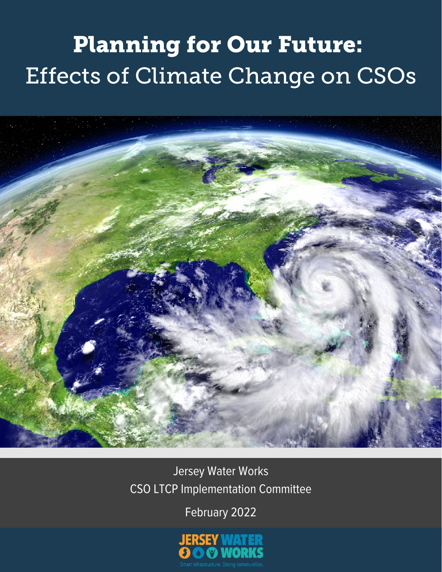# Planning for Our Future: Effects of Climate Change on CSOs



Jersey Water Works CSO LTCP Implementation Committee

February 2022

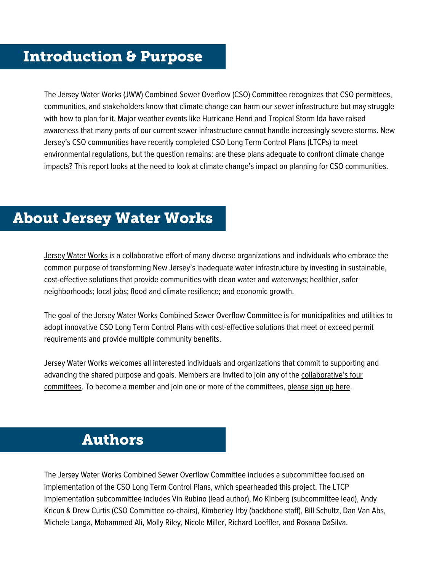## Introduction & Purpose

The Jersey Water Works (JWW) Combined Sewer Overflow (CSO) Committee recognizes that CSO permittees, communities, and stakeholders know that climate change can harm our sewer infrastructure but may struggle with how to plan for it. Major weather events like Hurricane Henri and Tropical Storm Ida have raised awareness that many parts of our current sewer infrastructure cannot handle increasingly severe storms. New Jersey's CSO communities have recently completed CSO Long Term Control Plans (LTCPs) to meet environmental regulations, but the question remains: are these plans adequate to confront climate change impacts? This report looks at the need to look at climate change's impact on planning for CSO communities.

## About Jersey Water Works

[Jersey](https://www.jerseywaterworks.org/) Water Works is a collaborative effort of many diverse organizations and individuals who embrace the common purpose of transforming New Jersey's inadequate water infrastructure by investing in sustainable, cost-effective solutions that provide communities with clean water and waterways; healthier, safer neighborhoods; local jobs; flood and climate resilience; and economic growth.

The goal of the Jersey Water Works Combined Sewer Overflow Committee is for municipalities and utilities to adopt innovative CSO Long Term Control Plans with cost-effective solutions that meet or exceed permit requirements and provide multiple community benefits.

Jersey Water Works welcomes all interested individuals and organizations that commit to supporting and advancing the shared purpose and goals. Members are invited to join any of the [collaborative's](https://www.jerseywaterworks.org/about/the-collaborative/) four [committees.](https://www.jerseywaterworks.org/about/the-collaborative/) To become a member and join one or more of the committees, [please](https://www.jerseywaterworks.org/get-involved/) sign up here.

## Authors

The Jersey Water Works Combined Sewer Overflow Committee includes a subcommittee focused on implementation of the CSO Long Term Control Plans, which spearheaded this project. The LTCP Implementation subcommittee includes Vin Rubino (lead author), Mo Kinberg (subcommittee lead), Andy Kricun & Drew Curtis (CSO Committee co-chairs), Kimberley Irby (backbone staff), Bill Schultz, Dan Van Abs, Michele Langa, Mohammed Ali, Molly Riley, Nicole Miller, Richard Loeffler, and Rosana DaSilva.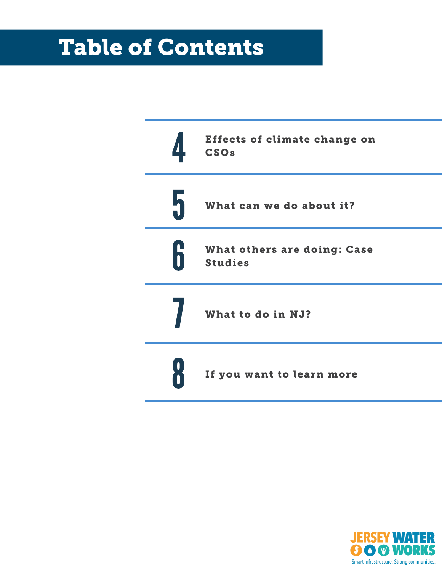## Table of Contents



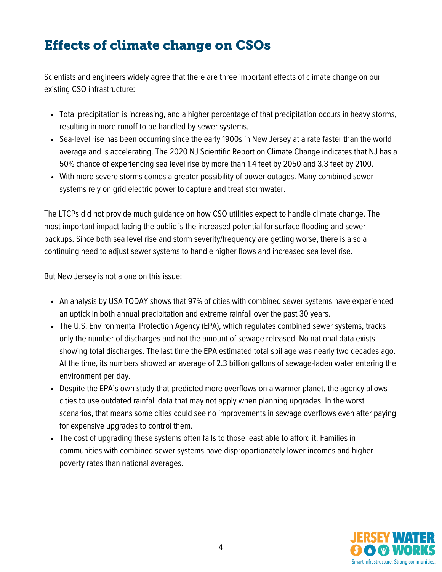## Effects of climate change on CSOs

Scientists and engineers widely agree that there are three important effects of climate change on our existing CSO infrastructure:

- Total precipitation is increasing, and a higher percentage of that precipitation occurs in heavy storms, resulting in more runoff to be handled by sewer systems.
- Sea-level rise has been occurring since the early 1900s in New Jersey at a rate faster than the world average and is accelerating. The 2020 NJ Scientific Report on Climate Change indicates that NJ has a 50% chance of experiencing sea level rise by more than 1.4 feet by 2050 and 3.3 feet by 2100.
- With more severe storms comes a greater possibility of power outages. Many combined sewer systems rely on grid electric power to capture and treat stormwater.

The LTCPs did not provide much guidance on how CSO utilities expect to handle climate change. The most important impact facing the public is the increased potential for surface flooding and sewer backups. Since both sea level rise and storm severity/frequency are getting worse, there is also a continuing need to adjust sewer systems to handle higher flows and increased sea level rise.

But New Jersey is not alone on this issue:

- An analysis by USA TODAY shows that 97% of cities with combined sewer systems have experienced an uptick in both annual precipitation and extreme rainfall over the past 30 years.
- The U.S. Environmental Protection Agency (EPA), which regulates combined sewer systems, tracks only the number of discharges and not the amount of sewage released. No national data exists showing total discharges. The last time the EPA estimated total spillage was nearly two decades ago. At the time, its numbers showed an average of 2.3 billion gallons of sewage-laden water entering the environment per day.
- Despite the EPA's own study that predicted more overflows on a warmer planet, the agency allows cities to use outdated rainfall data that may not apply when planning upgrades. In the worst scenarios, that means some cities could see no improvements in sewage overflows even after paying for expensive upgrades to control them.
- The cost of upgrading these systems often falls to those least able to afford it. Families in communities with combined sewer systems have disproportionately lower incomes and higher poverty rates than national averages.

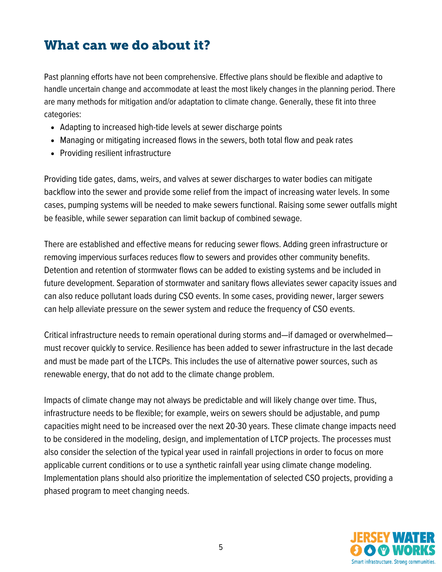## What can we do about it?

Past planning efforts have not been comprehensive. Effective plans should be flexible and adaptive to handle uncertain change and accommodate at least the most likely changes in the planning period. There are many methods for mitigation and/or adaptation to climate change. Generally, these fit into three categories:

- Adapting to increased high-tide levels at sewer discharge points
- Managing or mitigating increased flows in the sewers, both total flow and peak rates
- Providing resilient infrastructure

Providing tide gates, dams, weirs, and valves at sewer discharges to water bodies can mitigate backflow into the sewer and provide some relief from the impact of increasing water levels. In some cases, pumping systems will be needed to make sewers functional. Raising some sewer outfalls might be feasible, while sewer separation can limit backup of combined sewage.

There are established and effective means for reducing sewer flows. Adding green infrastructure or removing impervious surfaces reduces flow to sewers and provides other community benefits. Detention and retention of stormwater flows can be added to existing systems and be included in future development. Separation of stormwater and sanitary flows alleviates sewer capacity issues and can also reduce pollutant loads during CSO events. In some cases, providing newer, larger sewers can help alleviate pressure on the sewer system and reduce the frequency of CSO events.

Critical infrastructure needs to remain operational during storms and—if damaged or overwhelmed must recover quickly to service. Resilience has been added to sewer infrastructure in the last decade and must be made part of the LTCPs. This includes the use of alternative power sources, such as renewable energy, that do not add to the climate change problem.

Impacts of climate change may not always be predictable and will likely change over time. Thus, infrastructure needs to be flexible; for example, weirs on sewers should be adjustable, and pump capacities might need to be increased over the next 20-30 years. These climate change impacts need to be considered in the modeling, design, and implementation of LTCP projects. The processes must also consider the selection of the typical year used in rainfall projections in order to focus on more applicable current conditions or to use a synthetic rainfall year using climate change modeling. Implementation plans should also prioritize the implementation of selected CSO projects, providing a phased program to meet changing needs.

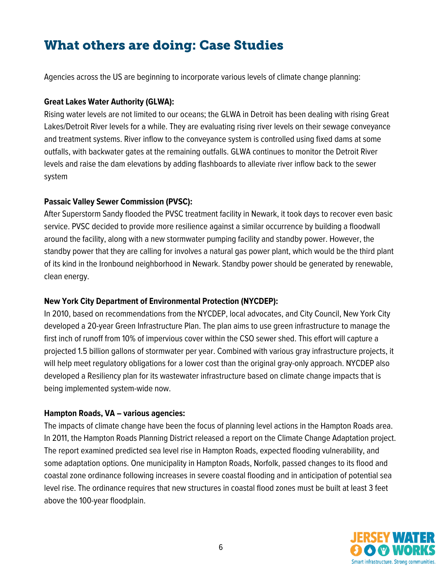## What others are doing: Case Studies

Agencies across the US are beginning to incorporate various levels of climate change planning:

#### **Great Lakes Water Authority (GLWA):**

Rising water levels are not limited to our oceans; the GLWA in Detroit has been dealing with rising Great Lakes/Detroit River levels for a while. They are evaluating rising river levels on their sewage conveyance and treatment systems. River inflow to the conveyance system is controlled using fixed dams at some outfalls, with backwater gates at the remaining outfalls. GLWA continues to monitor the Detroit River levels and raise the dam elevations by adding flashboards to alleviate river inflow back to the sewer system

#### **Passaic Valley Sewer Commission (PVSC):**

After Superstorm Sandy flooded the PVSC treatment facility in Newark, it took days to recover even basic service. PVSC decided to provide more resilience against a similar occurrence by building a floodwall around the facility, along with a new stormwater pumping facility and standby power. However, the standby power that they are calling for involves a natural gas power plant, which would be the third plant of its kind in the Ironbound neighborhood in Newark. Standby power should be generated by renewable, clean energy.

#### **New York City Department of Environmental Protection (NYCDEP):**

In 2010, based on recommendations from the NYCDEP, local advocates, and City Council, New York City developed a 20-year Green Infrastructure Plan. The plan aims to use green infrastructure to manage the first inch of runoff from 10% of impervious cover within the CSO sewer shed. This effort will capture a projected 1.5 billion gallons of stormwater per year. Combined with various gray infrastructure projects, it will help meet regulatory obligations for a lower cost than the original gray-only approach. NYCDEP also developed a Resiliency plan for its wastewater infrastructure based on climate change impacts that is being implemented system-wide now.

#### **Hampton Roads, VA – various agencies:**

The impacts of climate change have been the focus of planning level actions in the Hampton Roads area. In 2011, the Hampton Roads Planning District released a report on the Climate Change Adaptation project. The report examined predicted sea level rise in Hampton Roads, expected flooding vulnerability, and some adaptation options. One municipality in Hampton Roads, Norfolk, passed changes to its flood and coastal zone ordinance following increases in severe coastal flooding and in anticipation of potential sea level rise. The ordinance requires that new structures in coastal flood zones must be built at least 3 feet above the 100-year floodplain.

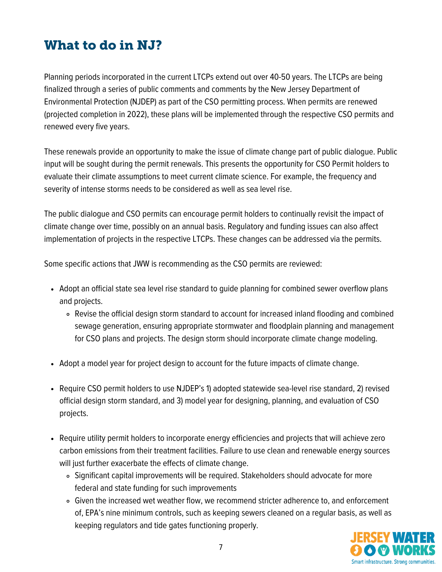## What to do in NJ?

Planning periods incorporated in the current LTCPs extend out over 40-50 years. The LTCPs are being finalized through a series of public comments and comments by the New Jersey Department of Environmental Protection (NJDEP) as part of the CSO permitting process. When permits are renewed (projected completion in 2022), these plans will be implemented through the respective CSO permits and renewed every five years.

These renewals provide an opportunity to make the issue of climate change part of public dialogue. Public input will be sought during the permit renewals. This presents the opportunity for CSO Permit holders to evaluate their climate assumptions to meet current climate science. For example, the frequency and severity of intense storms needs to be considered as well as sea level rise.

The public dialogue and CSO permits can encourage permit holders to continually revisit the impact of climate change over time, possibly on an annual basis. Regulatory and funding issues can also affect implementation of projects in the respective LTCPs. These changes can be addressed via the permits.

Some specific actions that JWW is recommending as the CSO permits are reviewed:

- Adopt an official state sea level rise standard to guide planning for combined sewer overflow plans and projects.
	- Revise the official design storm standard to account for increased inland flooding and combined sewage generation, ensuring appropriate stormwater and floodplain planning and management for CSO plans and projects. The design storm should incorporate climate change modeling.
- Adopt a model year for project design to account for the future impacts of climate change.
- Require CSO permit holders to use NJDEP's 1) adopted statewide sea-level rise standard, 2) revised official design storm standard, and 3) model year for designing, planning, and evaluation of CSO projects.
- Require utility permit holders to incorporate energy efficiencies and projects that will achieve zero carbon emissions from their treatment facilities. Failure to use clean and renewable energy sources will just further exacerbate the effects of climate change.
	- Significant capital improvements will be required. Stakeholders should advocate for more federal and state funding for such improvements
	- Given the increased wet weather flow, we recommend stricter adherence to, and enforcement of, EPA's nine minimum controls, such as keeping sewers cleaned on a regular basis, as well as keeping regulators and tide gates functioning properly.

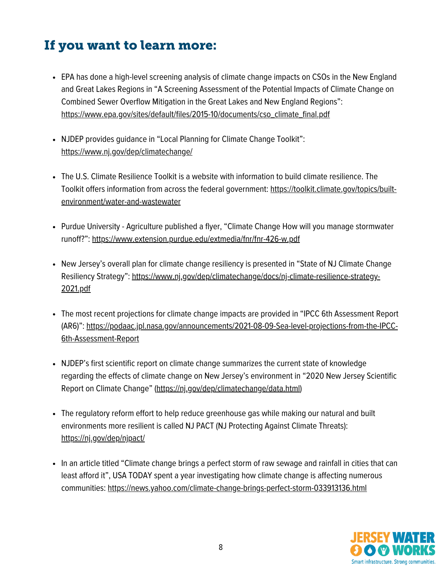## If you want to learn more:

- EPA has done a high-level screening analysis of climate change impacts on CSOs in the New England and Great Lakes Regions in "A Screening Assessment of the Potential Impacts of Climate Change on Combined Sewer Overflow Mitigation in the Great Lakes and New England Regions": [https://www.epa.gov/sites/default/files/2015-10/documents/cso\\_climate\\_final.pdf](https://www.epa.gov/sites/default/files/2015-10/documents/cso_climate_final.pdf)
- NJDEP provides guidance in "Local Planning for Climate Change Toolkit": <https://www.nj.gov/dep/climatechange/>
- The U.S. Climate Resilience Toolkit is a website with information to build climate resilience. The Toolkit offers information from across the federal government: [https://toolkit.climate.gov/topics/built](https://toolkit.climate.gov/topics/built-environment/water-and-wastewater)environment/water-and-wastewater
- Purdue University Agriculture published a flyer, "Climate Change How will you manage stormwater runoff?": <https://www.extension.purdue.edu/extmedia/fnr/fnr-426-w.pdf>
- New Jersey's overall plan for climate change resiliency is presented in "State of NJ Climate Change Resiliency Strategy"[:](https://www.nj.gov/dep/climatechange/docs/nj-climate-resilience-strategy-2021.pdf) [https://www.nj.gov/dep/climatechange/docs/nj-climate-resilience-strategy-](https://www.nj.gov/dep/climatechange/docs/nj-climate-resilience-strategy-2021.pdf)2021.pdf
- The most recent projections for climate change impacts are provided in "IPCC 6th Assessment Report (AR6)": [https://podaac.jpl.nasa.gov/announcements/2021-08-09-Sea-level-projections-from-the-IPCC-](https://podaac.jpl.nasa.gov/announcements/2021-08-09-Sea-level-projections-from-the-IPCC-6th-Assessment-Report)6th-Assessment-Report
- NJDEP's first scientific report on climate change summarizes the current state of knowledge regarding the effects of climate change on New Jersey's environment in "2020 New Jersey Scientific Report on Climate Change" (<https://nj.gov/dep/climatechange/data.html>)
- The regulatory reform effort to help reduce greenhouse gas while making our natural and built environments more resilient is called NJ PACT (NJ Protecting Against Climate Threats): <https://nj.gov/dep/njpact/>
- In an article titled "Climate change brings a perfect storm of raw sewage and rainfall in cities that can least afford it", USA TODAY spent a year investigating how climate change is affecting numerous communities: <https://news.yahoo.com/climate-change-brings-perfect-storm-033913136.html>